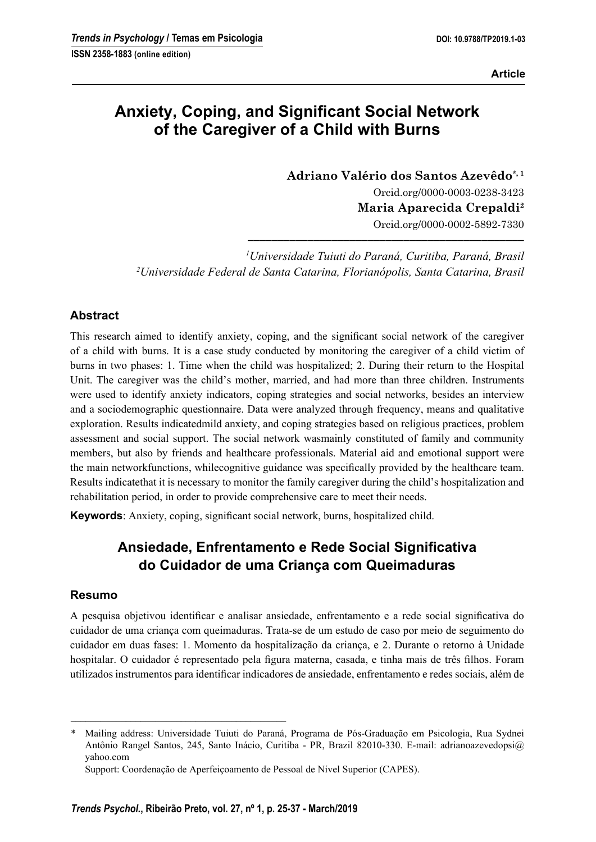# **Anxiety, Coping, and Significant Social Network of the Caregiver of a Child with Burns**

**Adriano Valério dos Santos Azevêdo\*, 1** Orcid.org/0000-0003-0238-3423 **Maria Aparecida Crepaldi2** Orcid.org/0000-0002-5892-7330 **––––––––––––––––––––––––––––––––––––––––––––––**

*1 Universidade Tuiuti do Paraná, Curitiba, Paraná, Brasil 2 Universidade Federal de Santa Catarina, Florianópolis, Santa Catarina, Brasil*

## **Abstract**

This research aimed to identify anxiety, coping, and the significant social network of the caregiver of a child with burns. It is a case study conducted by monitoring the caregiver of a child victim of burns in two phases: 1. Time when the child was hospitalized; 2. During their return to the Hospital Unit. The caregiver was the child's mother, married, and had more than three children. Instruments were used to identify anxiety indicators, coping strategies and social networks, besides an interview and a sociodemographic questionnaire. Data were analyzed through frequency, means and qualitative exploration. Results indicatedmild anxiety, and coping strategies based on religious practices, problem assessment and social support. The social network wasmainly constituted of family and community members, but also by friends and healthcare professionals. Material aid and emotional support were the main networkfunctions, whilecognitive guidance was specifically provided by the healthcare team. Results indicatethat it is necessary to monitor the family caregiver during the child's hospitalization and rehabilitation period, in order to provide comprehensive care to meet their needs.

**Keywords**: Anxiety, coping, significant social network, burns, hospitalized child.

# **Ansiedade, Enfrentamento e Rede Social Signifi cativa do Cuidador de uma Criança com Queimaduras**

## **Resumo**

A pesquisa objetivou identificar e analisar ansiedade, enfrentamento e a rede social significativa do cuidador de uma criança com queimaduras. Trata-se de um estudo de caso por meio de seguimento do cuidador em duas fases: 1. Momento da hospitalização da criança, e 2. Durante o retorno à Unidade hospitalar. O cuidador é representado pela figura materna, casada, e tinha mais de três filhos. Foram utilizados instrumentos para identificar indicadores de ansiedade, enfrentamento e redes sociais, além de

–––––––––––––––––––––––––––––––––––––––––––

<sup>\*</sup> Mailing address: Universidade Tuiuti do Paraná, Programa de Pós-Graduação em Psicologia, Rua Sydnei Antônio Rangel Santos, 245, Santo Inácio, Curitiba - PR, Brazil 82010-330. E-mail: adrianoazevedopsi@ yahoo.com

Support: Coordenação de Aperfeiçoamento de Pessoal de Nível Superior (CAPES).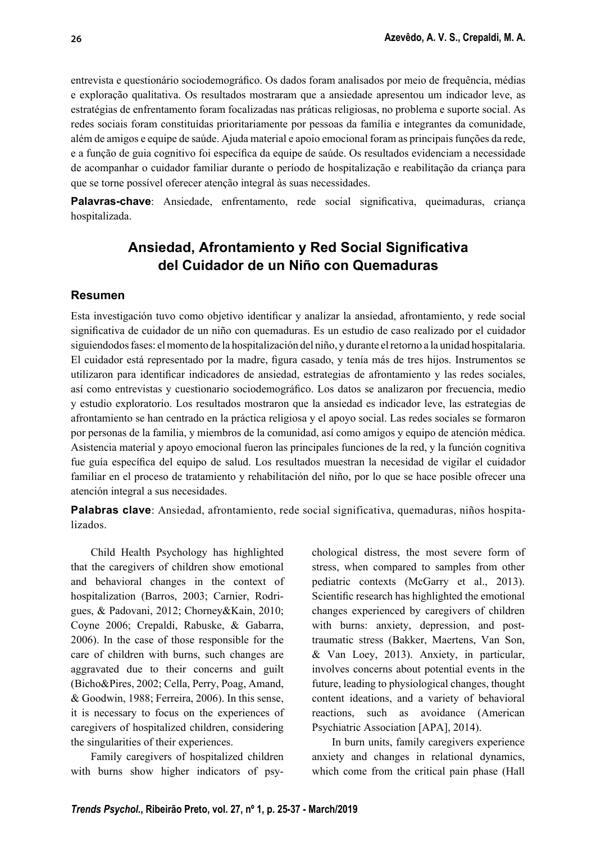entrevista e questionário sociodemográfico. Os dados foram analisados por meio de frequência, médias e exploração qualitativa. Os resultados mostraram que a ansiedade apresentou um indicador leve, as estratégias de enfrentamento foram focalizadas nas práticas religiosas, no problema e suporte social. As redes sociais foram constituídas prioritariamente por pessoas da família e integrantes da comunidade, além de amigos e equipe de saúde. Ajuda material e apoio emocional foram as principais funções da rede, e a função de guia cognitivo foi específica da equipe de saúde. Os resultados evidenciam a necessidade de acompanhar o cuidador familiar durante o período de hospitalização e reabilitação da criança para que se torne possível oferecer atenção integral às suas necessidades.

Palavras-chave: Ansiedade, enfrentamento, rede social significativa, queimaduras, criança hospitalizada.

## **Ansiedad, Afrontamiento y Red Social Significativa del Cuidador de un Niño con Quemaduras**

#### **Resumen**

Esta investigación tuvo como objetivo identificar y analizar la ansiedad, afrontamiento, y rede social significativa de cuidador de un niño con quemaduras. Es un estudio de caso realizado por el cuidador siguiendodos fases: el momento de la hospitalización del niño, y durante el retorno a la unidad hospitalaria. El cuidador está representado por la madre, figura casado, y tenía más de tres hijos. Instrumentos se utilizaron para identificar indicadores de ansiedad, estrategias de afrontamiento y las redes sociales, así como entrevistas y cuestionario sociodemográfico. Los datos se analizaron por frecuencia, medio y estudio exploratorio. Los resultados mostraron que la ansiedad es indicador leve, las estrategias de afrontamiento se han centrado en la práctica religiosa y el apoyo social. Las redes sociales se formaron por personas de la familia, y miembros de la comunidad, así como amigos y equipo de atención médica. Asistencia material y apoyo emocional fueron las principales funciones de la red, y la función cognitiva fue guía específica del equipo de salud. Los resultados muestran la necesidad de vigilar el cuidador familiar en el proceso de tratamiento y rehabilitación del niño, por lo que se hace posible ofrecer una atención integral a sus necesidades.

**Palabras clave**: Ansiedad, afrontamiento, rede social significativa, quemaduras, niños hospitalizados.

Child Health Psychology has highlighted that the caregivers of children show emotional and behavioral changes in the context of hospitalization (Barros, 2003; Carnier, Rodrigues, & Padovani, 2012; Chorney&Kain, 2010; Coyne 2006; Crepaldi, Rabuske, & Gabarra, 2006). In the case of those responsible for the care of children with burns, such changes are aggravated due to their concerns and guilt (Bicho&Pires, 2002; Cella, Perry, Poag, Amand, & Goodwin, 1988; Ferreira, 2006). In this sense, it is necessary to focus on the experiences of caregivers of hospitalized children, considering the singularities of their experiences.

Family caregivers of hospitalized children with burns show higher indicators of psychological distress, the most severe form of stress, when compared to samples from other pediatric contexts (McGarry et al., 2013). Scientific research has highlighted the emotional changes experienced by caregivers of children with burns: anxiety, depression, and posttraumatic stress (Bakker, Maertens, Van Son, & Van Loey, 2013). Anxiety, in particular, involves concerns about potential events in the future, leading to physiological changes, thought content ideations, and a variety of behavioral reactions, such as avoidance (American Psychiatric Association [APA], 2014).

In burn units, family caregivers experience anxiety and changes in relational dynamics, which come from the critical pain phase (Hall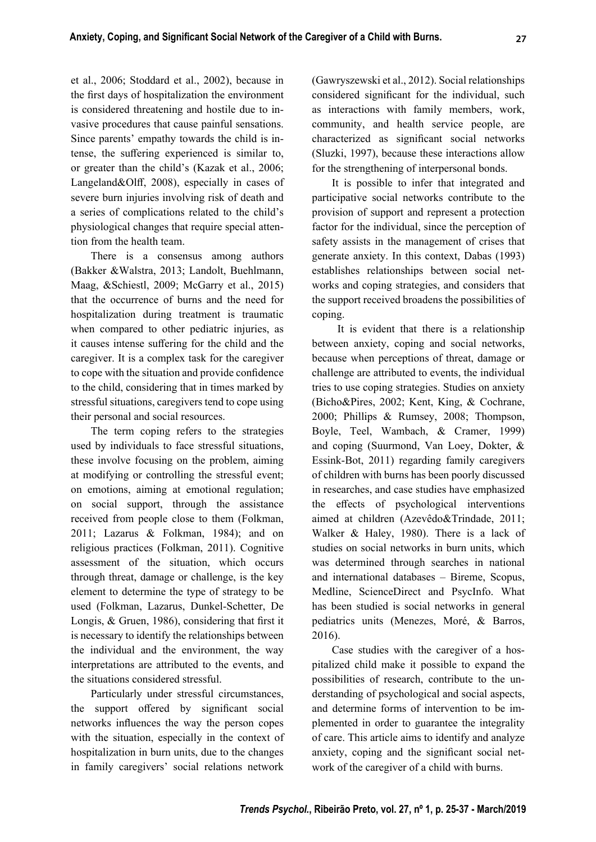et al., 2006; Stoddard et al., 2002), because in the first days of hospitalization the environment is considered threatening and hostile due to invasive procedures that cause painful sensations. Since parents' empathy towards the child is intense, the suffering experienced is similar to, or greater than the child's (Kazak et al., 2006; Langeland & Olff, 2008), especially in cases of severe burn injuries involving risk of death and a series of complications related to the child's physiological changes that require special attention from the health team.

There is a consensus among authors (Bakker &Walstra, 2013; Landolt, Buehlmann, Maag, &Schiestl, 2009; McGarry et al., 2015) that the occurrence of burns and the need for hospitalization during treatment is traumatic when compared to other pediatric injuries, as it causes intense suffering for the child and the caregiver. It is a complex task for the caregiver to cope with the situation and provide confidence to the child, considering that in times marked by stressful situations, caregivers tend to cope using their personal and social resources.

The term coping refers to the strategies used by individuals to face stressful situations, these involve focusing on the problem, aiming at modifying or controlling the stressful event; on emotions, aiming at emotional regulation; on social support, through the assistance received from people close to them (Folkman, 2011; Lazarus & Folkman, 1984); and on religious practices (Folkman, 2011). Cognitive assessment of the situation, which occurs through threat, damage or challenge, is the key element to determine the type of strategy to be used (Folkman, Lazarus, Dunkel-Schetter, De Longis,  $&$  Gruen, 1986), considering that first it is necessary to identify the relationships between the individual and the environment, the way interpretations are attributed to the events, and the situations considered stressful.

Particularly under stressful circumstances, the support offered by significant social networks influences the way the person copes with the situation, especially in the context of hospitalization in burn units, due to the changes in family caregivers' social relations network

(Gawryszewski et al., 2012). Social relationships considered significant for the individual, such as interactions with family members, work, community, and health service people, are characterized as significant social networks (Sluzki, 1997), because these interactions allow for the strengthening of interpersonal bonds.

It is possible to infer that integrated and participative social networks contribute to the provision of support and represent a protection factor for the individual, since the perception of safety assists in the management of crises that generate anxiety. In this context, Dabas (1993) establishes relationships between social networks and coping strategies, and considers that the support received broadens the possibilities of coping.

 It is evident that there is a relationship between anxiety, coping and social networks, because when perceptions of threat, damage or challenge are attributed to events, the individual tries to use coping strategies. Studies on anxiety (Bicho&Pires, 2002; Kent, King, & Cochrane, 2000; Phillips & Rumsey, 2008; Thompson, Boyle, Teel, Wambach, & Cramer, 1999) and coping (Suurmond, Van Loey, Dokter, & Essink-Bot, 2011) regarding family caregivers of children with burns has been poorly discussed in researches, and case studies have emphasized the effects of psychological interventions aimed at children (Azevêdo&Trindade, 2011; Walker & Haley, 1980). There is a lack of studies on social networks in burn units, which was determined through searches in national and international databases – Bireme, Scopus, Medline, ScienceDirect and PsycInfo. What has been studied is social networks in general pediatrics units (Menezes, Moré, & Barros, 2016).

Case studies with the caregiver of a hospitalized child make it possible to expand the possibilities of research, contribute to the understanding of psychological and social aspects, and determine forms of intervention to be implemented in order to guarantee the integrality of care. This article aims to identify and analyze anxiety, coping and the significant social network of the caregiver of a child with burns.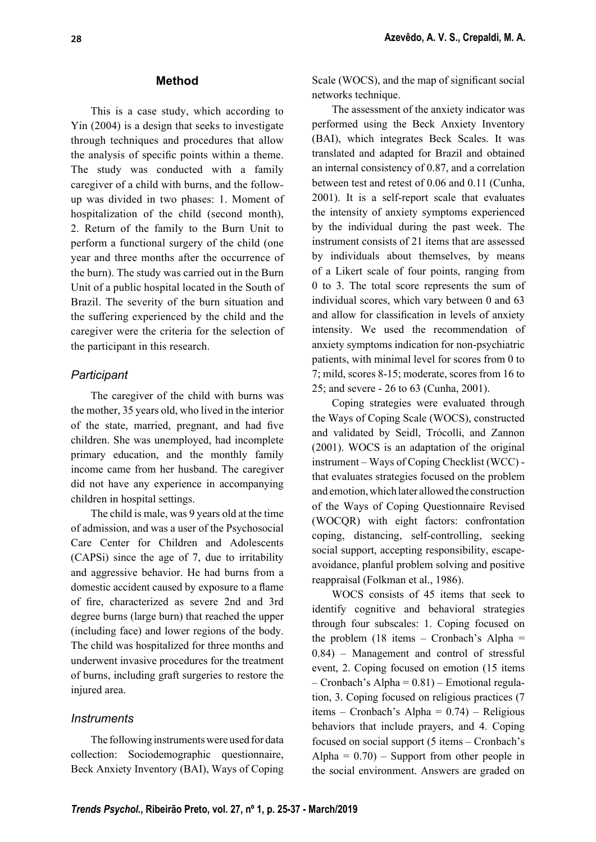#### **Method**

This is a case study, which according to Yin (2004) is a design that seeks to investigate through techniques and procedures that allow the analysis of specific points within a theme. The study was conducted with a family caregiver of a child with burns, and the followup was divided in two phases: 1. Moment of hospitalization of the child (second month), 2. Return of the family to the Burn Unit to perform a functional surgery of the child (one year and three months after the occurrence of the burn). The study was carried out in the Burn Unit of a public hospital located in the South of Brazil. The severity of the burn situation and the suffering experienced by the child and the caregiver were the criteria for the selection of the participant in this research.

## *Participant*

The caregiver of the child with burns was the mother, 35 years old, who lived in the interior of the state, married, pregnant, and had five children. She was unemployed, had incomplete primary education, and the monthly family income came from her husband. The caregiver did not have any experience in accompanying children in hospital settings.

The child is male, was 9 years old at the time of admission, and was a user of the Psychosocial Care Center for Children and Adolescents (CAPSi) since the age of 7, due to irritability and aggressive behavior. He had burns from a domestic accident caused by exposure to a flame of fire, characterized as severe 2nd and 3rd degree burns (large burn) that reached the upper (including face) and lower regions of the body. The child was hospitalized for three months and underwent invasive procedures for the treatment of burns, including graft surgeries to restore the injured area.

#### *Instruments*

The following instruments were used for data collection: Sociodemographic questionnaire, Beck Anxiety Inventory (BAI), Ways of Coping Scale (WOCS), and the map of significant social networks technique.

The assessment of the anxiety indicator was performed using the Beck Anxiety Inventory (BAI), which integrates Beck Scales. It was translated and adapted for Brazil and obtained an internal consistency of 0.87, and a correlation between test and retest of 0.06 and 0.11 (Cunha, 2001). It is a self-report scale that evaluates the intensity of anxiety symptoms experienced by the individual during the past week. The instrument consists of 21 items that are assessed by individuals about themselves, by means of a Likert scale of four points, ranging from 0 to 3. The total score represents the sum of individual scores, which vary between 0 and 63 and allow for classification in levels of anxiety intensity. We used the recommendation of anxiety symptoms indication for non-psychiatric patients, with minimal level for scores from 0 to 7; mild, scores 8-15; moderate, scores from 16 to 25; and severe - 26 to 63 (Cunha, 2001).

Coping strategies were evaluated through the Ways of Coping Scale (WOCS), constructed and validated by Seidl, Trócolli, and Zannon (2001). WOCS is an adaptation of the original instrument – Ways of Coping Checklist (WCC) that evaluates strategies focused on the problem and emotion, which later allowed the construction of the Ways of Coping Questionnaire Revised (WOCQR) with eight factors: confrontation coping, distancing, self-controlling, seeking social support, accepting responsibility, escapeavoidance, planful problem solving and positive reappraisal (Folkman et al., 1986).

WOCS consists of 45 items that seek to identify cognitive and behavioral strategies through four subscales: 1. Coping focused on the problem  $(18$  items – Cronbach's Alpha = 0.84) – Management and control of stressful event, 2. Coping focused on emotion (15 items – Cronbach's Alpha = 0.81) – Emotional regulation, 3. Coping focused on religious practices (7 items – Cronbach's Alpha =  $0.74$ ) – Religious behaviors that include prayers, and 4. Coping focused on social support (5 items – Cronbach's Alpha =  $0.70$ ) – Support from other people in the social environment. Answers are graded on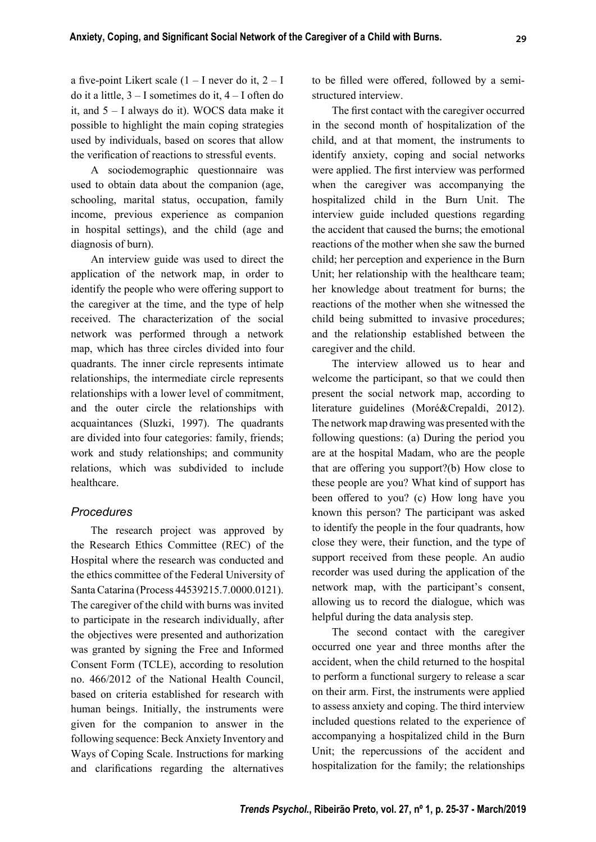a five-point Likert scale  $(1 - I$  never do it,  $2 - I$ do it a little, 3 – I sometimes do it, 4 – I often do it, and 5 – I always do it). WOCS data make it possible to highlight the main coping strategies used by individuals, based on scores that allow the verification of reactions to stressful events.

A sociodemographic questionnaire was used to obtain data about the companion (age, schooling, marital status, occupation, family income, previous experience as companion in hospital settings), and the child (age and diagnosis of burn).

An interview guide was used to direct the application of the network map, in order to identify the people who were offering support to the caregiver at the time, and the type of help received. The characterization of the social network was performed through a network map, which has three circles divided into four quadrants. The inner circle represents intimate relationships, the intermediate circle represents relationships with a lower level of commitment, and the outer circle the relationships with acquaintances (Sluzki, 1997). The quadrants are divided into four categories: family, friends; work and study relationships; and community relations, which was subdivided to include healthcare.

#### *Procedures*

The research project was approved by the Research Ethics Committee (REC) of the Hospital where the research was conducted and the ethics committee of the Federal University of Santa Catarina (Process 44539215.7.0000.0121). The caregiver of the child with burns was invited to participate in the research individually, after the objectives were presented and authorization was granted by signing the Free and Informed Consent Form (TCLE), according to resolution no. 466/2012 of the National Health Council, based on criteria established for research with human beings. Initially, the instruments were given for the companion to answer in the following sequence: Beck Anxiety Inventory and Ways of Coping Scale. Instructions for marking and clarifications regarding the alternatives

to be filled were offered, followed by a semistructured interview.

The first contact with the caregiver occurred in the second month of hospitalization of the child, and at that moment, the instruments to identify anxiety, coping and social networks were applied. The first interview was performed when the caregiver was accompanying the hospitalized child in the Burn Unit. The interview guide included questions regarding the accident that caused the burns; the emotional reactions of the mother when she saw the burned child; her perception and experience in the Burn Unit; her relationship with the healthcare team; her knowledge about treatment for burns; the reactions of the mother when she witnessed the child being submitted to invasive procedures; and the relationship established between the caregiver and the child.

The interview allowed us to hear and welcome the participant, so that we could then present the social network map, according to literature guidelines (Moré&Crepaldi, 2012). The network map drawing was presented with the following questions: (a) During the period you are at the hospital Madam, who are the people that are offering you support? $(b)$  How close to these people are you? What kind of support has been offered to you? (c) How long have you known this person? The participant was asked to identify the people in the four quadrants, how close they were, their function, and the type of support received from these people. An audio recorder was used during the application of the network map, with the participant's consent, allowing us to record the dialogue, which was helpful during the data analysis step.

The second contact with the caregiver occurred one year and three months after the accident, when the child returned to the hospital to perform a functional surgery to release a scar on their arm. First, the instruments were applied to assess anxiety and coping. The third interview included questions related to the experience of accompanying a hospitalized child in the Burn Unit; the repercussions of the accident and hospitalization for the family; the relationships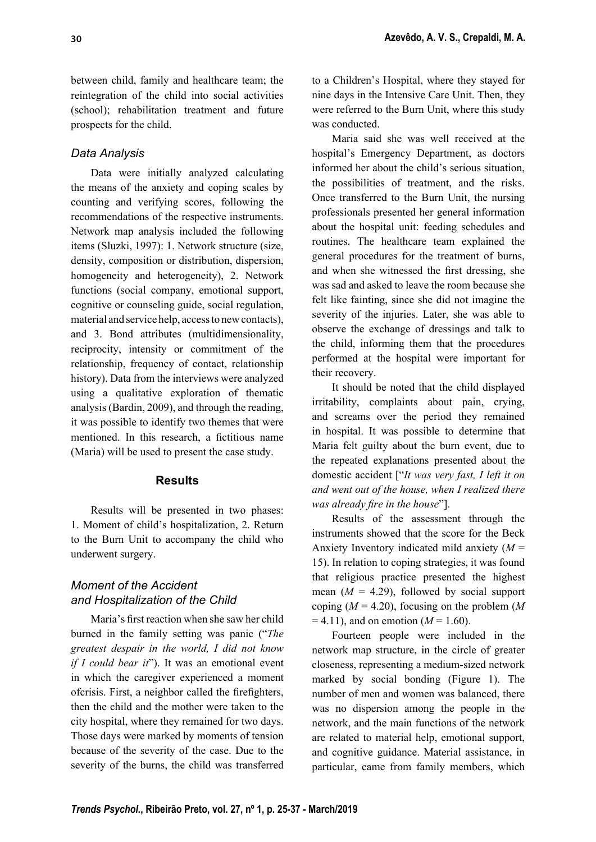between child, family and healthcare team; the reintegration of the child into social activities (school); rehabilitation treatment and future prospects for the child.

## *Data Analysis*

Data were initially analyzed calculating the means of the anxiety and coping scales by counting and verifying scores, following the recommendations of the respective instruments. Network map analysis included the following items (Sluzki, 1997): 1. Network structure (size, density, composition or distribution, dispersion, homogeneity and heterogeneity), 2. Network functions (social company, emotional support, cognitive or counseling guide, social regulation, material and service help, access to new contacts), and 3. Bond attributes (multidimensionality, reciprocity, intensity or commitment of the relationship, frequency of contact, relationship history). Data from the interviews were analyzed using a qualitative exploration of thematic analysis (Bardin, 2009), and through the reading, it was possible to identify two themes that were mentioned. In this research, a fictitious name (Maria) will be used to present the case study.

#### **Results**

Results will be presented in two phases: 1. Moment of child's hospitalization, 2. Return to the Burn Unit to accompany the child who underwent surgery.

## *Moment of the Accident and Hospitalization of the Child*

Maria's first reaction when she saw her child burned in the family setting was panic ("*The greatest despair in the world, I did not know if I could bear it*"). It was an emotional event in which the caregiver experienced a moment ofcrisis. First, a neighbor called the firefighters, then the child and the mother were taken to the city hospital, where they remained for two days. Those days were marked by moments of tension because of the severity of the case. Due to the severity of the burns, the child was transferred to a Children's Hospital, where they stayed for nine days in the Intensive Care Unit. Then, they were referred to the Burn Unit, where this study was conducted.

Maria said she was well received at the hospital's Emergency Department, as doctors informed her about the child's serious situation, the possibilities of treatment, and the risks. Once transferred to the Burn Unit, the nursing professionals presented her general information about the hospital unit: feeding schedules and routines. The healthcare team explained the general procedures for the treatment of burns, and when she witnessed the first dressing, she was sad and asked to leave the room because she felt like fainting, since she did not imagine the severity of the injuries. Later, she was able to observe the exchange of dressings and talk to the child, informing them that the procedures performed at the hospital were important for their recovery.

It should be noted that the child displayed irritability, complaints about pain, crying, and screams over the period they remained in hospital. It was possible to determine that Maria felt guilty about the burn event, due to the repeated explanations presented about the domestic accident ["*It was very fast, I left it on and went out of the house, when I realized there was already fire in the house*"].

Results of the assessment through the instruments showed that the score for the Beck Anxiety Inventory indicated mild anxiety (*M* = 15). In relation to coping strategies, it was found that religious practice presented the highest mean  $(M = 4.29)$ , followed by social support coping (*M* = 4.20), focusing on the problem (*M*  $= 4.11$ ), and on emotion ( $M = 1.60$ ).

Fourteen people were included in the network map structure, in the circle of greater closeness, representing a medium-sized network marked by social bonding (Figure 1). The number of men and women was balanced, there was no dispersion among the people in the network, and the main functions of the network are related to material help, emotional support, and cognitive guidance. Material assistance, in particular, came from family members, which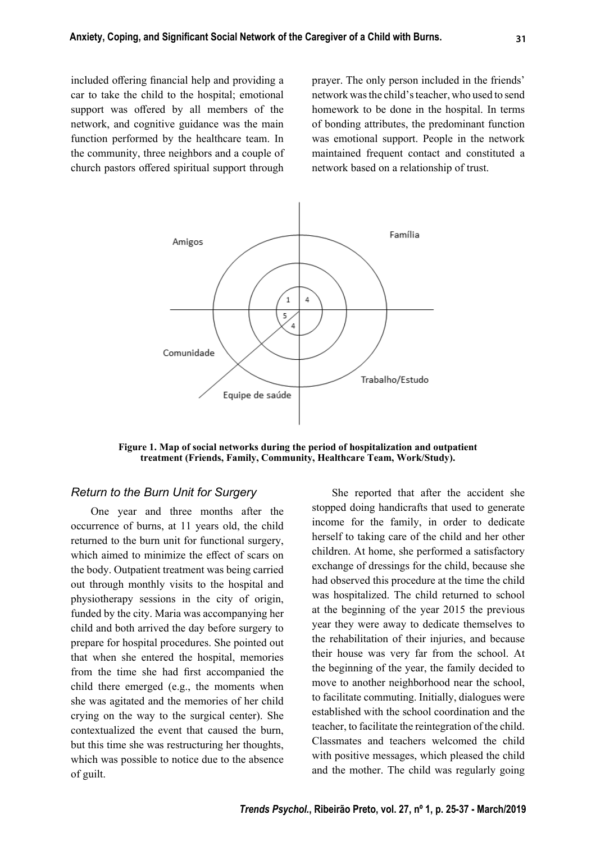included offering financial help and providing a car to take the child to the hospital; emotional support was offered by all members of the network, and cognitive guidance was the main function performed by the healthcare team. In the community, three neighbors and a couple of church pastors offered spiritual support through prayer. The only person included in the friends' network was the child's teacher, who used to send homework to be done in the hospital. In terms of bonding attributes, the predominant function was emotional support. People in the network maintained frequent contact and constituted a network based on a relationship of trust.



**Figure 1. Map of social networks during the period of hospitalization and outpatient treatment (Friends, Family, Community, Healthcare Team, Work/Study).**

#### *Return to the Burn Unit for Surgery*

One year and three months after the occurrence of burns, at 11 years old, the child returned to the burn unit for functional surgery, which aimed to minimize the effect of scars on the body. Outpatient treatment was being carried out through monthly visits to the hospital and physiotherapy sessions in the city of origin, funded by the city. Maria was accompanying her child and both arrived the day before surgery to prepare for hospital procedures. She pointed out that when she entered the hospital, memories from the time she had first accompanied the child there emerged (e.g., the moments when she was agitated and the memories of her child crying on the way to the surgical center). She contextualized the event that caused the burn, but this time she was restructuring her thoughts, which was possible to notice due to the absence of guilt.

She reported that after the accident she stopped doing handicrafts that used to generate income for the family, in order to dedicate herself to taking care of the child and her other children. At home, she performed a satisfactory exchange of dressings for the child, because she had observed this procedure at the time the child was hospitalized. The child returned to school at the beginning of the year 2015 the previous year they were away to dedicate themselves to the rehabilitation of their injuries, and because their house was very far from the school. At the beginning of the year, the family decided to move to another neighborhood near the school, to facilitate commuting. Initially, dialogues were established with the school coordination and the teacher, to facilitate the reintegration of the child. Classmates and teachers welcomed the child with positive messages, which pleased the child and the mother. The child was regularly going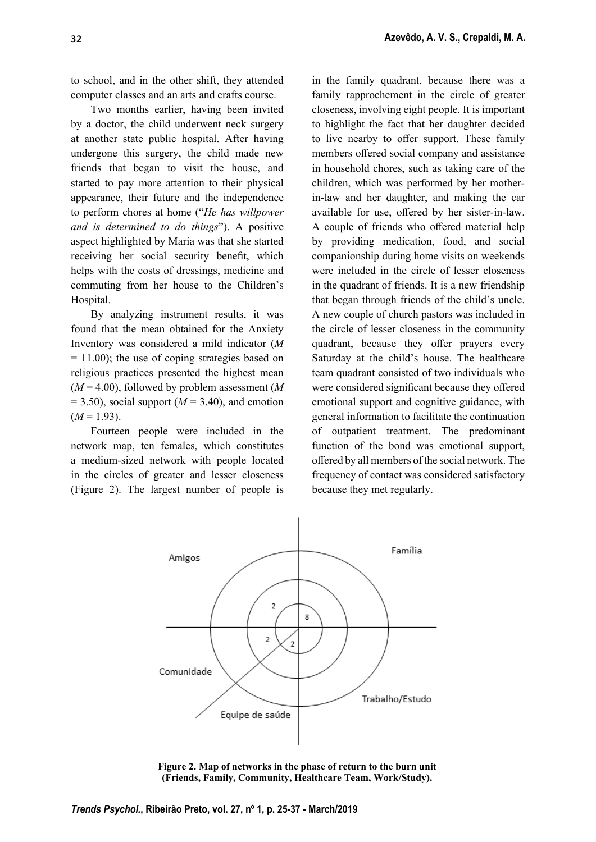to school, and in the other shift, they attended computer classes and an arts and crafts course.

Two months earlier, having been invited by a doctor, the child underwent neck surgery at another state public hospital. After having undergone this surgery, the child made new friends that began to visit the house, and started to pay more attention to their physical appearance, their future and the independence to perform chores at home ("*He has willpower and is determined to do things*"). A positive aspect highlighted by Maria was that she started receiving her social security benefit, which helps with the costs of dressings, medicine and commuting from her house to the Children's Hospital.

By analyzing instrument results, it was found that the mean obtained for the Anxiety Inventory was considered a mild indicator (*M*  $= 11.00$ ; the use of coping strategies based on religious practices presented the highest mean (*M* = 4.00), followed by problem assessment (*M*  $= 3.50$ ), social support ( $M = 3.40$ ), and emotion  $(M = 1.93)$ .

Fourteen people were included in the network map, ten females, which constitutes a medium-sized network with people located in the circles of greater and lesser closeness (Figure 2). The largest number of people is in the family quadrant, because there was a family rapprochement in the circle of greater closeness, involving eight people. It is important to highlight the fact that her daughter decided to live nearby to offer support. These family members offered social company and assistance in household chores, such as taking care of the children, which was performed by her motherin-law and her daughter, and making the car available for use, offered by her sister-in-law. A couple of friends who offered material help by providing medication, food, and social companionship during home visits on weekends were included in the circle of lesser closeness in the quadrant of friends. It is a new friendship that began through friends of the child's uncle. A new couple of church pastors was included in the circle of lesser closeness in the community quadrant, because they offer prayers every Saturday at the child's house. The healthcare team quadrant consisted of two individuals who were considered significant because they offered emotional support and cognitive guidance, with general information to facilitate the continuation of outpatient treatment. The predominant function of the bond was emotional support, offered by all members of the social network. The frequency of contact was considered satisfactory because they met regularly.



**Figure 2. Map of networks in the phase of return to the burn unit (Friends, Family, Community, Healthcare Team, Work/Study).**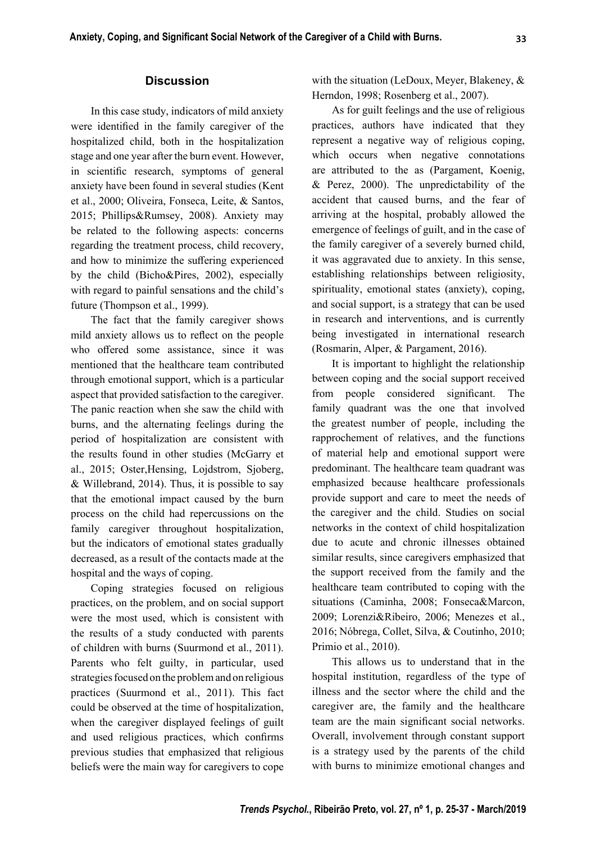## **Discussion**

In this case study, indicators of mild anxiety were identified in the family caregiver of the hospitalized child, both in the hospitalization stage and one year after the burn event. However, in scientific research, symptoms of general anxiety have been found in several studies (Kent et al., 2000; Oliveira, Fonseca, Leite, & Santos, 2015; Phillips&Rumsey, 2008). Anxiety may be related to the following aspects: concerns regarding the treatment process, child recovery, and how to minimize the suffering experienced by the child (Bicho&Pires, 2002), especially with regard to painful sensations and the child's future (Thompson et al., 1999).

The fact that the family caregiver shows mild anxiety allows us to reflect on the people who offered some assistance, since it was mentioned that the healthcare team contributed through emotional support, which is a particular aspect that provided satisfaction to the caregiver. The panic reaction when she saw the child with burns, and the alternating feelings during the period of hospitalization are consistent with the results found in other studies (McGarry et al., 2015; Oster,Hensing, Lojdstrom, Sjoberg, & Willebrand, 2014). Thus, it is possible to say that the emotional impact caused by the burn process on the child had repercussions on the family caregiver throughout hospitalization, but the indicators of emotional states gradually decreased, as a result of the contacts made at the hospital and the ways of coping.

Coping strategies focused on religious practices, on the problem, and on social support were the most used, which is consistent with the results of a study conducted with parents of children with burns (Suurmond et al., 2011). Parents who felt guilty, in particular, used strategies focused on the problem and on religious practices (Suurmond et al., 2011). This fact could be observed at the time of hospitalization, when the caregiver displayed feelings of guilt and used religious practices, which confirms previous studies that emphasized that religious beliefs were the main way for caregivers to cope

with the situation (LeDoux, Meyer, Blakeney, & Herndon, 1998; Rosenberg et al., 2007).

As for guilt feelings and the use of religious practices, authors have indicated that they represent a negative way of religious coping, which occurs when negative connotations are attributed to the as (Pargament, Koenig, & Perez, 2000). The unpredictability of the accident that caused burns, and the fear of arriving at the hospital, probably allowed the emergence of feelings of guilt, and in the case of the family caregiver of a severely burned child, it was aggravated due to anxiety. In this sense, establishing relationships between religiosity, spirituality, emotional states (anxiety), coping, and social support, is a strategy that can be used in research and interventions, and is currently being investigated in international research (Rosmarin, Alper, & Pargament, 2016).

It is important to highlight the relationship between coping and the social support received from people considered significant. The family quadrant was the one that involved the greatest number of people, including the rapprochement of relatives, and the functions of material help and emotional support were predominant. The healthcare team quadrant was emphasized because healthcare professionals provide support and care to meet the needs of the caregiver and the child. Studies on social networks in the context of child hospitalization due to acute and chronic illnesses obtained similar results, since caregivers emphasized that the support received from the family and the healthcare team contributed to coping with the situations (Caminha, 2008; Fonseca&Marcon, 2009; Lorenzi&Ribeiro, 2006; Menezes et al., 2016; Nóbrega, Collet, Silva, & Coutinho, 2010; Primio et al., 2010).

This allows us to understand that in the hospital institution, regardless of the type of illness and the sector where the child and the caregiver are, the family and the healthcare team are the main significant social networks. Overall, involvement through constant support is a strategy used by the parents of the child with burns to minimize emotional changes and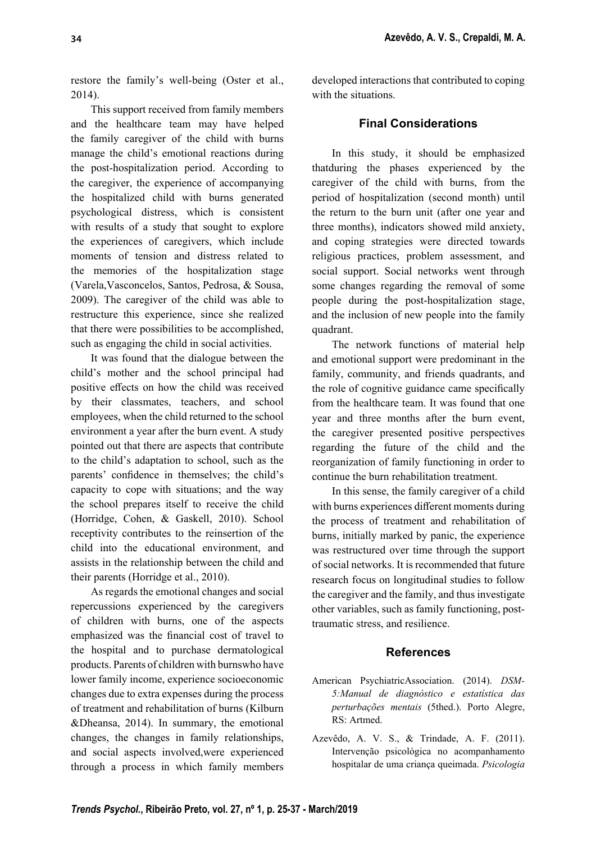restore the family's well-being (Oster et al., 2014).

This support received from family members and the healthcare team may have helped the family caregiver of the child with burns manage the child's emotional reactions during the post-hospitalization period. According to the caregiver, the experience of accompanying the hospitalized child with burns generated psychological distress, which is consistent with results of a study that sought to explore the experiences of caregivers, which include moments of tension and distress related to the memories of the hospitalization stage (Varela,Vasconcelos, Santos, Pedrosa, & Sousa, 2009). The caregiver of the child was able to restructure this experience, since she realized that there were possibilities to be accomplished, such as engaging the child in social activities.

It was found that the dialogue between the child's mother and the school principal had positive effects on how the child was received by their classmates, teachers, and school employees, when the child returned to the school environment a year after the burn event. A study pointed out that there are aspects that contribute to the child's adaptation to school, such as the parents' confidence in themselves; the child's capacity to cope with situations; and the way the school prepares itself to receive the child (Horridge, Cohen, & Gaskell, 2010). School receptivity contributes to the reinsertion of the child into the educational environment, and assists in the relationship between the child and their parents (Horridge et al., 2010).

As regards the emotional changes and social repercussions experienced by the caregivers of children with burns, one of the aspects emphasized was the financial cost of travel to the hospital and to purchase dermatological products. Parents of children with burnswho have lower family income, experience socioeconomic changes due to extra expenses during the process of treatment and rehabilitation of burns (Kilburn &Dheansa, 2014). In summary, the emotional changes, the changes in family relationships, and social aspects involved,were experienced through a process in which family members

developed interactions that contributed to coping with the situations.

### **Final Considerations**

In this study, it should be emphasized thatduring the phases experienced by the caregiver of the child with burns, from the period of hospitalization (second month) until the return to the burn unit (after one year and three months), indicators showed mild anxiety, and coping strategies were directed towards religious practices, problem assessment, and social support. Social networks went through some changes regarding the removal of some people during the post-hospitalization stage, and the inclusion of new people into the family quadrant.

The network functions of material help and emotional support were predominant in the family, community, and friends quadrants, and the role of cognitive guidance came specifically from the healthcare team. It was found that one year and three months after the burn event, the caregiver presented positive perspectives regarding the future of the child and the reorganization of family functioning in order to continue the burn rehabilitation treatment.

In this sense, the family caregiver of a child with burns experiences different moments during the process of treatment and rehabilitation of burns, initially marked by panic, the experience was restructured over time through the support of social networks. It is recommended that future research focus on longitudinal studies to follow the caregiver and the family, and thus investigate other variables, such as family functioning, posttraumatic stress, and resilience.

### **References**

- American PsychiatricAssociation. (2014). *DSM-5:Manual de diagnóstico e estatística das perturbações mentais* (5thed.). Porto Alegre, RS: Artmed.
- Azevêdo, A. V. S., & Trindade, A. F. (2011). Intervenção psicológica no acompanhamento hospitalar de uma criança queimada. *Psicologia*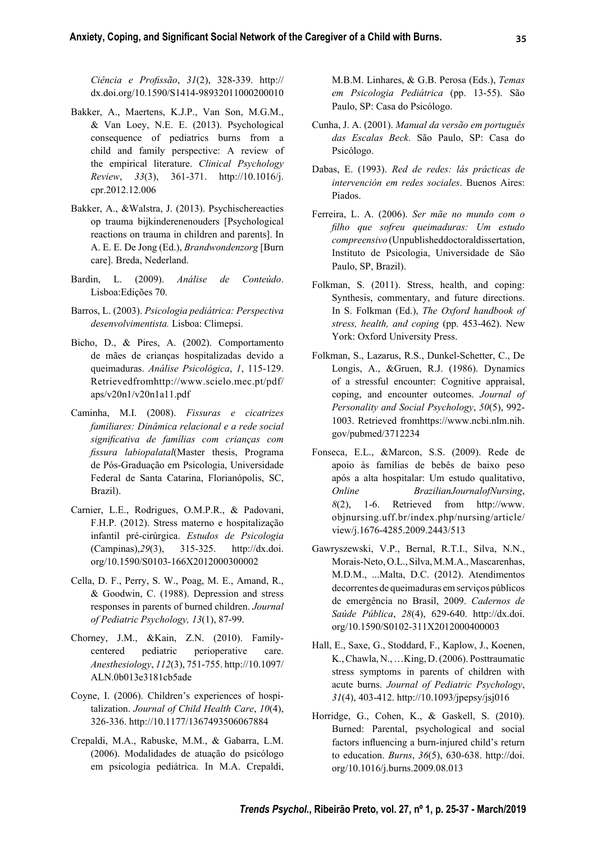*Ciência e Profi ssão*, *31*(2), 328-339. http:// dx.doi.org/10.1590/S1414-98932011000200010

- Bakker, A., Maertens, K.J.P., Van Son, M.G.M., & Van Loey, N.E. E. (2013). Psychological consequence of pediatrics burns from a child and family perspective: A review of the empirical literature. *Clinical Psychology Review*, *33*(3), 361-371. http://10.1016/j. cpr.2012.12.006
- Bakker, A., &Walstra, J. (2013). Psychischereacties op trauma bijkinderenenouders [Psychological reactions on trauma in children and parents]. In A. E. E. De Jong (Ed.), *Brandwondenzorg* [Burn care]. Breda, Nederland.
- Bardin, L. (2009). *Análise de Conteúdo*. Lisboa:Edições 70.
- Barros, L. (2003). *Psicologia pediátrica: Perspectiva desenvolvimentista.* Lisboa: Climepsi.
- Bicho, D., & Pires, A. (2002). Comportamento de mães de crianças hospitalizadas devido a queimaduras. *Análise Psicológica*, *1*, 115-129. Retrievedfromhttp://www.scielo.mec.pt/pdf/ aps/v20n1/v20n1a11.pdf
- Caminha, M.I. (2008). *Fissuras e cicatrizes familiares: Dinâmica relacional e a rede social signifi cativa de famílias com crianças com fi ssura labiopalatal*(Master thesis, Programa de Pós-Graduação em Psicologia, Universidade Federal de Santa Catarina, Florianópolis, SC, Brazil).
- Carnier, L.E., Rodrigues, O.M.P.R., & Padovani, F.H.P. (2012). Stress materno e hospitalização infantil pré-cirúrgica. *Estudos de Psicologia*  (Campinas),*29*(3), 315-325. http://dx.doi. org/10.1590/S0103-166X2012000300002
- Cella, D. F., Perry, S. W., Poag, M. E., Amand, R., & Goodwin, C. (1988). Depression and stress responses in parents of burned children. *Journal of Pediatric Psychology, 13*(1), 87-99.
- Chorney, J.M., &Kain, Z.N. (2010). Familycentered pediatric perioperative care. *Anesthesiology*, *112*(3), 751-755. http://10.1097/ ALN.0b013e3181cb5ade
- Coyne, I. (2006). Children's experiences of hospitalization. *Journal of Child Health Care*, *10*(4), 326-336. http://10.1177/1367493506067884
- Crepaldi, M.A., Rabuske, M.M., & Gabarra, L.M. (2006). Modalidades de atuação do psicólogo em psicologia pediátrica. In M.A. Crepaldi,

M.B.M. Linhares, & G.B. Perosa (Eds.), *Temas em Psicologia Pediátrica* (pp. 13-55). São Paulo, SP: Casa do Psicólogo.

- Cunha, J. A. (2001). *Manual da versão em portuguê s das Escalas Beck*. São Paulo, SP: Casa do Psicólogo.
- Dabas, E. (1993). *Red de redes: lás prácticas de intervención em redes sociales*. Buenos Aires: Piados.
- Ferreira, L. A. (2006). *Ser mãe no mundo com o fi lho que sofreu queimaduras: Um estudo compreensivo* (Unpublisheddoctoraldissertation, Instituto de Psicologia, Universidade de São Paulo, SP, Brazil).
- Folkman, S. (2011). Stress, health, and coping: Synthesis, commentary, and future directions. In S. Folkman (Ed.), *The Oxford handbook of stress, health, and coping* (pp. 453-462). New York: Oxford University Press.
- Folkman, S., Lazarus, R.S., Dunkel-Schetter, C., De Longis, A., &Gruen, R.J. (1986). Dynamics of a stressful encounter: Cognitive appraisal, coping, and encounter outcomes. *Journal of Personality and Social Psychology*, *50*(5), 992- 1003. Retrieved fromhttps://www.ncbi.nlm.nih. gov/pubmed/3712234
- Fonseca, E.L., &Marcon, S.S. (2009). Rede de apoio às famílias de bebês de baixo peso após a alta hospitalar: Um estudo qualitativo, *Online BrazilianJournalofNursing*, *8*(2), 1-6. Retrieved from http://www. objnursing.uff.br/index.php/nursing/article/ view/j.1676-4285.2009.2443/513
- Gawryszewski, V.P., Bernal, R.T.I., Silva, N.N., Morais-Neto, O.L., Silva, M.M.A., Mascarenhas, M.D.M., ...Malta, D.C. (2012). Atendimentos decorrentes de queimaduras em serviços públicos de emergência no Brasil, 2009. *Cadernos de Saúde Pública*, *28*(4), 629-640. http://dx.doi. org/10.1590/S0102-311X2012000400003
- Hall, E., Saxe, G., Stoddard, F., Kaplow, J., Koenen, K., Chawla, N., …King, D. (2006). Posttraumatic stress symptoms in parents of children with acute burns. *Journal of Pediatric Psychology*, *31*(4), 403-412. http://10.1093/jpepsy/jsj016
- Horridge, G., Cohen, K., & Gaskell, S. (2010). Burned: Parental, psychological and social factors influencing a burn-injured child's return to education. *Burns*, *36*(5), 630-638. http://doi. org/10.1016/j.burns.2009.08.013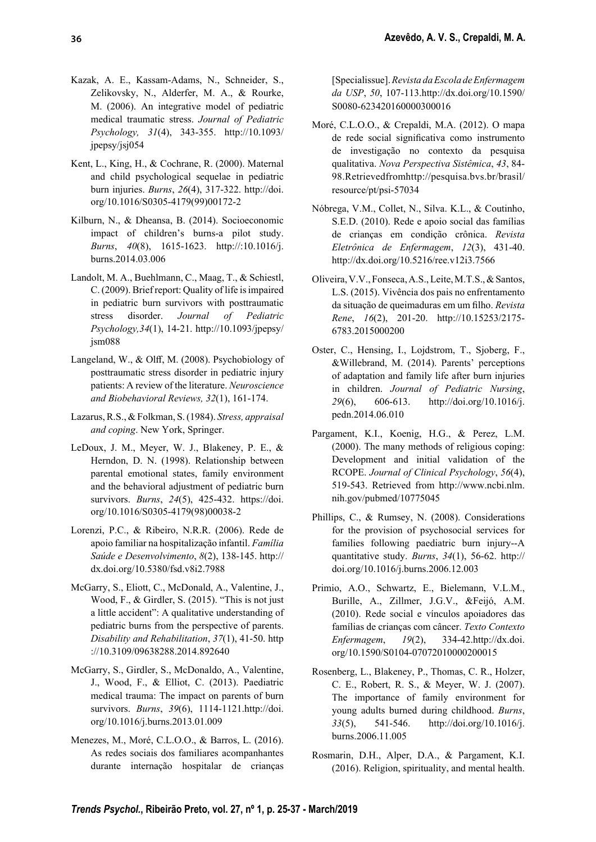- Kazak, A. E., Kassam-Adams, N., Schneider, S., Zelikovsky, N., Alderfer, M. A., & Rourke, M. (2006). An integrative model of pediatric medical traumatic stress. *Journal of Pediatric Psychology, 31*(4), 343-355. http://10.1093/ jpepsy/jsj054
- Kent, L., King, H., & Cochrane, R. (2000). Maternal and child psychological sequelae in pediatric burn injuries. *Burns*, *26*(4), 317-322. http://doi. org/10.1016/S0305-4179(99)00172-2
- Kilburn, N., & Dheansa, B. (2014). Socioeconomic impact of children's burns-a pilot study. *Burns*, *40*(8), 1615-1623. http://:10.1016/j. burns.2014.03.006
- Landolt, M. A., Buehlmann, C., Maag, T., & Schiestl, C. (2009). Brief report: Quality of life is impaired in pediatric burn survivors with posttraumatic stress disorder. *Journal of Pediatric Psychology,34*(1), 14-21. http://10.1093/jpepsy/ jsm088
- Langeland, W., & Olff, M. (2008). Psychobiology of posttraumatic stress disorder in pediatric injury patients: A review of the literature. *Neuroscience and Biobehavioral Reviews, 32*(1), 161-174.
- Lazarus, R.S., & Folkman, S. (1984). *Stress, appraisal and coping*. New York, Springer.
- LeDoux, J. M., Meyer, W. J., Blakeney, P. E., & Herndon, D. N. (1998). Relationship between parental emotional states, family environment and the behavioral adjustment of pediatric burn survivors. *Burns*, *24*(5), 425-432. https://doi. org/10.1016/S0305-4179(98)00038-2
- Lorenzi, P.C., & Ribeiro, N.R.R. (2006). Rede de apoio familiar na hospitalização infantil. *Família Saúde e Desenvolvimento*, *8*(2), 138-145. http:// dx.doi.org/10.5380/fsd.v8i2.7988
- McGarry, S., Eliott, C., McDonald, A., Valentine, J., Wood, F., & Girdler, S. (2015). "This is not just a little accident": A qualitative understanding of pediatric burns from the perspective of parents. *Disability and Rehabilitation*, *37*(1), 41-50. http ://10.3109/09638288.2014.892640
- McGarry, S., Girdler, S., McDonaldo, A., Valentine, J., Wood, F., & Elliot, C. (2013). Paediatric medical trauma: The impact on parents of burn survivors. *Burns*, *39*(6), 1114-1121.http://doi. org/10.1016/j.burns.2013.01.009
- Menezes, M., Moré, C.L.O.O., & Barros, L. (2016). As redes sociais dos familiares acompanhantes durante internação hospitalar de crianças

[Specialissue]. *Revista da Escola de Enfermagem da USP*, *50*, 107-113.http://dx.doi.org/10.1590/ S0080-623420160000300016

- Moré, C.L.O.O., & Crepaldi, M.A. (2012). O mapa de rede social significativa como instrumento de investigação no contexto da pesquisa qualitativa. *Nova Perspectiva Sistêmica*, *43*, 84- 98.Retrievedfromhttp://pesquisa.bvs.br/brasil/ resource/pt/psi-57034
- Nóbrega, V.M., Collet, N., Silva. K.L., & Coutinho, S.E.D. (2010). Rede e apoio social das famílias de crianças em condição crônica. *Revista Eletrônica de Enfermagem*, *12*(3), 431-40. http://dx.doi.org/10.5216/ree.v12i3.7566
- Oliveira, V.V., Fonseca, A.S., Leite, M.T.S., & Santos, L.S. (2015). Vivência dos pais no enfrentamento da situação de queimaduras em um filho. Revista *Rene*, *16*(2), 201-20. http://10.15253/2175- 6783.2015000200
- Oster, C., Hensing, I., Lojdstrom, T., Sjoberg, F., &Willebrand, M. (2014). Parents' perceptions of adaptation and family life after burn injuries in children. *Journal of Pediatric Nursing*, *29*(6), 606-613. http://doi.org/10.1016/j. pedn.2014.06.010
- Pargament, K.I., Koenig, H.G., & Perez, L.M. (2000). The many methods of religious coping: Development and initial validation of the RCOPE. *Journal of Clinical Psychology*, *56*(4), 519-543. Retrieved from http://www.ncbi.nlm. nih.gov/pubmed/10775045
- Phillips, C., & Rumsey, N. (2008). Considerations for the provision of psychosocial services for families following paediatric burn injury--A quantitative study. *Burns*, *34*(1), 56-62. http:// doi.org/10.1016/j.burns.2006.12.003
- Primio, A.O., Schwartz, E., Bielemann, V.L.M., Burille, A., Zillmer, J.G.V., &Feijó, A.M. (2010). Rede social e vínculos apoiadores das famílias de crianças com câncer. *Texto Contexto Enfermagem*, *19*(2), 334-42.http://dx.doi. org/10.1590/S0104-07072010000200015
- Rosenberg, L., Blakeney, P., Thomas, C. R., Holzer, C. E., Robert, R. S., & Meyer, W. J. (2007). The importance of family environment for young adults burned during childhood. *Burns*, *33*(5), 541-546. http://doi.org/10.1016/j. burns.2006.11.005
- Rosmarin, D.H., Alper, D.A., & Pargament, K.I. (2016). Religion, spirituality, and mental health.